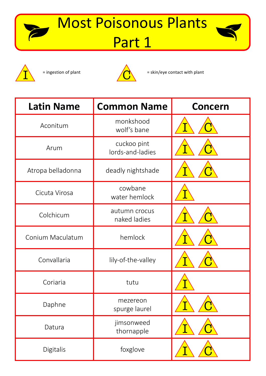## Most Poisonous Plants Part 1







= ingestion of plant  $\sqrt{\bullet}$  = skin/eye contact with plant

| <b>Latin Name</b> | <b>Common Name</b>              | <b>Concern</b> |
|-------------------|---------------------------------|----------------|
| Aconitum          | monkshood<br>wolf's bane        |                |
| Arum              | cuckoo pint<br>lords-and-ladies |                |
| Atropa belladonna | deadly nightshade               |                |
| Cicuta Virosa     | cowbane<br>water hemlock        |                |
| Colchicum         | autumn crocus<br>naked ladies   |                |
| Conium Maculatum  | hemlock                         |                |
| Convallaria       | lily-of-the-valley              |                |
| Coriaria          | tutu                            |                |
| Daphne            | mezereon<br>spurge laurel       |                |
| Datura            | jimsonweed<br>thornapple        |                |
| Digitalis         | foxglove                        |                |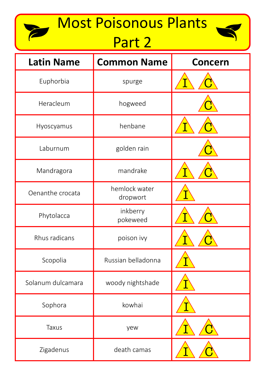# Most Poisonous Plants

T

## Part 2



| <b>Latin Name</b> | <b>Common Name</b>        | <b>Concern</b> |
|-------------------|---------------------------|----------------|
| Euphorbia         | spurge                    |                |
| Heracleum         | hogweed                   |                |
| Hyoscyamus        | henbane                   |                |
| Laburnum          | golden rain               |                |
| Mandragora        | mandrake                  |                |
| Oenanthe crocata  | hemlock water<br>dropwort |                |
| Phytolacca        | inkberry<br>pokeweed      |                |
| Rhus radicans     | poison ivy                |                |
| Scopolia          | Russian belladonna        |                |
| Solanum dulcamara | woody nightshade          |                |
| Sophora           | kowhai                    |                |
| <b>Taxus</b>      | yew                       |                |
| Zigadenus         | death camas               |                |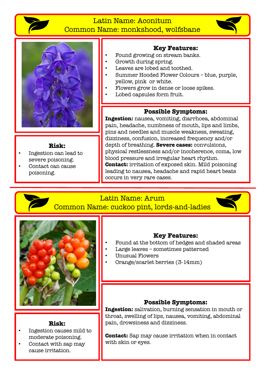

### Latin Name: Aconitum Common Name: monkshood, wolfsbane





#### **Risk:**

- Ingestion can lead to severe poisoning.
- Contact can cause poisoning.

### **Key Features:**

- Found growing on stream banks.
- Growth during spring.
- Leaves are lobed and toothed.
- Summer Hooded Flower Colours blue, purple, yellow, pink or white.
- Flowers grow in dense or loose spikes.
- Lobed capsules form fruit.

### **Possible Symptoms:**

**Ingestion:** nausea, vomiting, diarrhoea, abdominal pain, headache, numbness of mouth, lips and limbs, pins and needles and muscle weakness, sweating, dizziness, confusion, increased frequency and/or depth of breathing. **Severe cases:** convulsions, physical restlessness and/or incoherence, coma, low blood pressure and irregular heart rhythm. **Contact:** irritation of exposed skin. Mild poisoning leading to nausea, headache and rapid heart beats occurs in very rare cases.

### Latin Name: Arum

Common Name: cuckoo pint, lords-and-ladies





### **Key Features:**

- Found at the bottom of hedges and shaded areas
- Large leaves sometimes patterned
- Unusual Flowers
- Orange/scarlet berries (3-14mm)

### **Possible Symptoms:**

**Ingestion:** salivation, burning sensation in mouth or throat, swelling of lips, nausea, vomiting, abdominal pain, drowsiness and dizziness.

**Contact:** Sap may cause irritation when in contact with skin or eyes.

### **Risk:**

- Ingestion causes mild to moderate poisoning.
- Contact with sap may cause irritation.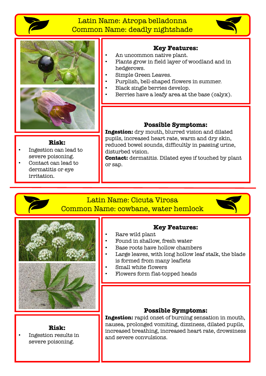

### Latin Name: Atropa belladonna Common Name: deadly nightshade



### **Key Features:**

- An uncommon native plant.
- Plants grow in field layer of woodland and in hedgerows.
- Simple Green Leaves.
- Purplish, bell-shaped flowers in summer.
- Black single berries develop.
- Berries have a leafy area at the base (calyx).

#### **Risk:**

- Ingestion can lead to severe poisoning.
- Contact can lead to dermatitis or eye irritation.

### **Possible Symptoms:**

**Ingestion:** dry mouth, blurred vision and dilated pupils, increased heart rate, warm and dry skin, reduced bowel sounds, difficultly in passing urine, disturbed vision.

**Contact:** dermatitis. Dilated eyes if touched by plant or sap.

### Latin Name: Cicuta Virosa Common Name: cowbane, water hemlock





**Risk:** • Ingestion results in severe poisoning.

### **Key Features:**

- Rare wild plant
- Found in shallow, fresh water
- Base roots have hollow chambers
- Large leaves, with long hollow leaf stalk, the blade is formed from many leaflets
- Small white flowers
- Flowers form flat-topped heads

#### **Possible Symptoms:**

**Ingestion:** rapid onset of burning sensation in mouth, nausea, prolonged vomiting, dizziness, dilated pupils, increased breathing, increased heart rate, drowsiness and severe convulsions.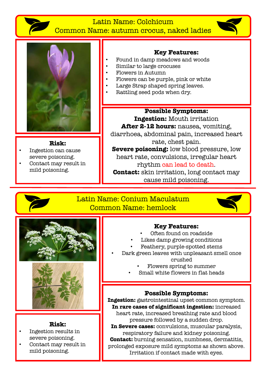

### Latin Name: Colchicum Common Name: autumn crocus, naked ladies



**Risk:** • Ingestion can cause severe poisoning. • Contact may result in

mild poisoning.

### **Key Features:**

- Found in damp meadows and woods
- Similar to large crocuses
- Flowers in Autumn
- Flowers can be purple, pink or white
- Large Strap shaped spring leaves.
- Rattling seed pods when dry.

### **Possible Symptoms:**

**Ingestion:** Mouth irritation

After 2-12 hours: nausea, vomiting, diarrhoea, abdominal pain, increased heart rate, chest pain.

**Severe poisoning:** low blood pressure, low heart rate, convulsions, irregular heart rhythm can lead to death.

**Contact:** skin irritation, long contact may cause mild poisoning.



### Latin Name: Conium Maculatum Common Name: hemlock





### **Risk:**

- Ingestion results in severe poisoning.
- Contact may result in mild poisoning.

### **Key Features:**

- Often found on roadside
- Likes damp growing conditions
- Feathery, purple-spotted stems
- Dark green leaves with unpleasant smell once crushed
	- Flowers spring to summer
	- Small white flowers in flat heads

### **Possible Symptoms:**

**Ingestion:** gastrointestinal upset common symptom. **In rare cases of significant ingestion:** increased heart rate, increased breathing rate and blood pressure followed by a sudden drop. **In Severe cases:** convulsions, muscular paralysis, respiratory failure and kidney poisoning. **Contact:** burning sensation, numbness, dermatitis, prolonged exposure mild symptoms as shown above. Irritation if contact made with eyes.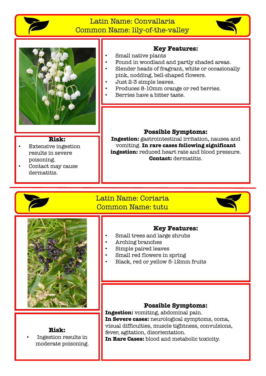

### Latin Name: Convallaria Common Name: lily-of-the-valley





### **Key Features:**

- Small native plants
	- Found in woodland and partly shaded areas.
- Slender heads of fragrant, white or occasionally pink, nodding, bell-shaped flowers.
- Just 2-3 simple leaves.
- Produces 8-10mm orange or red berries.
- Berries have a bitter taste.

#### **Risk:**

- Extensive ingestion results in severe poisoning.
- Contact may cause dermatitis.

### **Possible Symptoms:**

**Ingestion:** gastrointestinal irritation, nausea and vomiting. **In rare cases following significant ingestion:** reduced heart rate and blood pressure. **Contact:** dermatitis.

### Latin Name: Coriaria Common Name: tutu





**Risk:**

• Ingestion results in moderate poisoning.

### **Key Features:**

- Small trees and large shrubs
- Arching branches
- Simple paired leaves
- Small red flowers in spring
- Black, red or yellow 5-12mm fruits

### **Possible Symptoms:**

**Ingestion:** vomiting, abdominal pain. **In Severe cases:** neurological symptoms, coma, visual difficulties, muscle tightness, convulsions, fever, agitation, disorientation. **In Rare Cases:** blood and metabolic toxicity.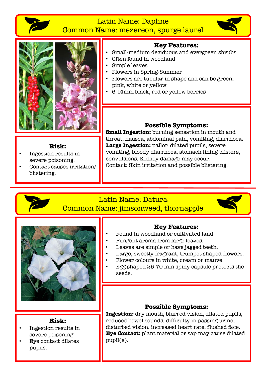

### Latin Name: Daphne

Common Name: mezereon, spurge laurel





### **Key Features:**

- Small-medium deciduous and evergreen shrubs
	- Often found in woodland
- Simple leaves
- Flowers in Spring-Summer
- Flowers are tubular in shape and can be green, pink, white or yellow
- 6-14mm black, red or yellow berries

#### **Risk:**

- Ingestion results in severe poisoning.
- Contact causes irritation/ blistering.

### **Possible Symptoms:**

**Small Ingestion:** burning sensation in mouth and throat, nausea, abdominal pain, vomiting, diarrhoea**.** Large Ingestion: pallor, dilated pupils, severe vomiting, bloody diarrhoea, stomach lining blisters, convulsions. Kidney damage may occur. Contact: Skin irritation and possible blistering.

### Latin Name: Datura Common Name: jimsonweed, thornapple





### **Risk:**

- Ingestion results in severe poisoning.
- Eye contact dilates pupils.

### **Key Features:**

- Found in woodland or cultivated land
- Pungent aroma from large leaves.
- Leaves are simple or have jagged teeth.
- Large, sweetly fragrant, trumpet shaped flowers.
- Flower colours in white, cream or mauve.
- Egg shaped 25-70 mm spiny capsule protects the seeds.

### **Possible Symptoms:**

**Ingestion:** dry mouth, blurred vision, dilated pupils, reduced bowel sounds, difficulty in passing urine, disturbed vision, increased heart rate, flushed face. **Eye Contact:** plant material or sap may cause dilated pupil(s).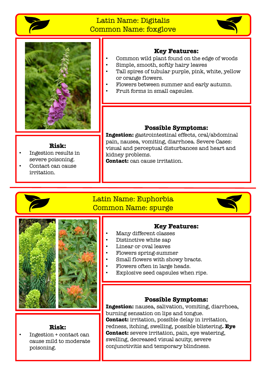

### Latin Name: Digitalis Common Name: foxglove





### **Key Features:**

- Common wild plant found on the edge of woods
- Simple, smooth, softly hairy leaves
- Tall spires of tubular purple, pink, white, yellow or orange flowers.
- Flowers between summer and early autumn.
	- Fruit forms in small capsules.

#### **Risk:**

- Ingestion results in severe poisoning.
- Contact can cause irritation.

### **Possible Symptoms:**

**Ingestion:** gastrointestinal effects, oral/abdominal pain, nausea, vomiting, diarrhoea. Severe Cases: visual and perceptual disturbances and heart and kidney problems.

**Contact:** can cause irritation.

### Latin Name: Euphorbia Common Name: spurge



### **Key Features:**

- Many different classes
- Distinctive white sap
- Linear or oval leaves
- Flowers spring-summer
- Small flowers with showy bracts.
- Flowers often in large heads.
- Explosive seed capsules when ripe.

### **Possible Symptoms:**

**Ingestion:** nausea, salivation, vomiting, diarrhoea, burning sensation on lips and tongue. **Contact:** irritation, possible delay in irritation, redness, itching, swelling, possible blistering**. Eye Contact:** severe irritation, pain, eye watering, swelling, decreased visual acuity, severe conjunctivitis and temporary blindness.

### **Risk:**

• Ingestion + contact can cause mild to moderate poisoning.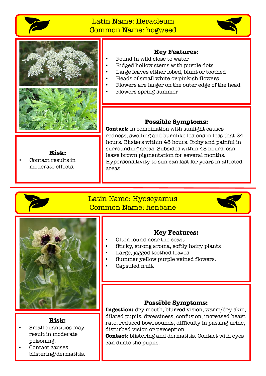

### Latin Name: Heracleum Common Name: hogweed





**Risk:**

• Contact results in moderate effects.

### **Key Features:**

- Found in wild close to water
- Ridged hollow stems with purple dots
- Large leaves either lobed, blunt or toothed
- Heads of small white or pinkish flowers
- Flowers are larger on the outer edge of the head
	- Flowers spring-summer

### **Possible Symptoms:**

**Contact:** in combination with sunlight causes redness, swelling and burnlike lesions in less that 24 hours. Blisters within 48 hours. Itchy and painful in surrounding areas. Subsides within 48 hours, can leave brown pigmentation for several months. Hypersensitivity to sun can last for years in affected areas.

### Latin Name: Hyoscyamus Common Name: henbane





### **Risk:**

- Small quantities may result in moderate poisoning.
- Contact causes blistering/dermatitis.

### **Key Features:**

- Often found near the coast
- Sticky, strong aroma, softly hairy plants
- Large, jagged toothed leaves
- Summer yellow purple veined flowers.
- Capsuled fruit.

### **Possible Symptoms:**

**Ingestion:** dry mouth, blurred vision, warm/dry skin, dilated pupils, drowsiness, confusion, increased heart rate, reduced bowl sounds, difficulty in passing urine, disturbed vision or perception.

**Contact:** blistering and dermatitis. Contact with eyes can dilate the pupils.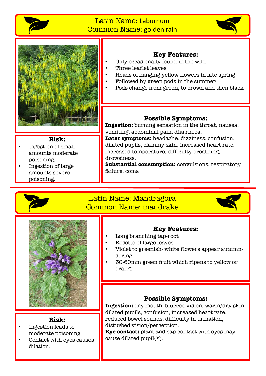

### Latin Name: Laburnum Common Name: golden rain





### **Key Features:**

- Only occasionally found in the wild
- Three leaflet leaves
- Heads of hanging yellow flowers in late spring
- Followed by green pods in the summer
- Pods change from green, to brown and then black

#### **Risk:**

- Ingestion of small amounts moderate poisoning.
- Ingestion of large amounts severe poisoning.

### **Possible Symptoms:**

**Ingestion:** burning sensation in the throat, nausea, vomiting, abdominal pain, diarrhoea.

**Later symptoms:** headache, dizziness, confusion, dilated pupils, clammy skin, increased heart rate, increased temperature, difficulty breathing, drowsiness.

**Substantial consumption:** convulsions, respiratory failure, coma

### Latin Name: Mandragora Common Name: mandrake





#### **Risk:**

- Ingestion leads to moderate poisoning.
- Contact with eyes causes dilation.

### **Key Features:**

- Long branching tap-root
- Rosette of large leaves
- Violet to greenish- white flowers appear autumnspring
- 30-60mm green fruit which ripens to yellow or orange

### **Possible Symptoms:**

**Ingestion:** dry mouth, blurred vision, warm/dry skin, dilated pupils, confusion, increased heart rate, reduced bowel sounds, difficulty in urination, disturbed vision/perception.

**Eye contact:** plant and sap contact with eyes may cause dilated pupil(s).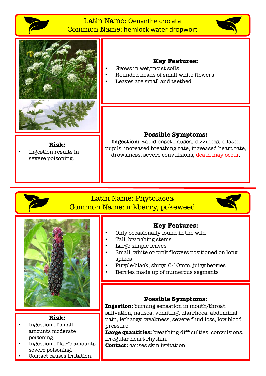### Latin Name: Oenanthe crocata Common Name: hemlock water dropwort





### **Key Features:**

- Grows in wet/moist soils
- Rounded heads of small white flowers
- Leaves are small and teethed

**Risk:** • Ingestion results in severe poisoning.

#### **Possible Symptoms:**

**Ingestion:** Rapid onset nausea, dizziness, dilated pupils, increased breathing rate, increased heart rate, drowsiness, severe convulsions, death may occur.

### Latin Name: Phytolacca Common Name: inkberry, pokeweed





#### **Risk:**

- Ingestion of small amounts moderate poisoning.
- Ingestion of large amounts severe poisoning.
- Contact causes irritation.

### **Key Features:**

- Only occasionally found in the wild
- Tall, branching stems
- Large simple leaves
- Small, white or pink flowers positioned on long spikes
- Purple-black, shiny, 6-10mm, juicy berries
- Berries made up of numerous segments

#### **Possible Symptoms:**

**Ingestion:** burning sensation in mouth/throat, salivation, nausea, vomiting, diarrhoea, abdominal pain, lethargy, weakness, severe fluid loss, low blood pressure.

**Large quantities:** breathing difficulties, convulsions, irregular heart rhythm.

**Contact:** causes skin irritation.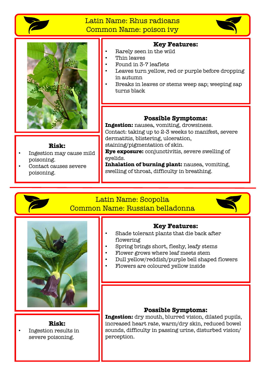

### Latin Name: Rhus radicans Common Name: poison ivy





### **Risk:**

- Ingestion may cause mild poisoning.
- Contact causes severe poisoning.

### **Key Features:**

- Rarely seen in the wild
- Thin leaves
- Found in 3-7 leaflets
- Leaves turn yellow, red or purple before dropping in autumn
- Breaks in leaves or stems weep sap; weeping sap turns black

### **Possible Symptoms:**

**Ingestion:** nausea, vomiting, drowsiness. Contact: taking up to 2-3 weeks to manifest, severe dermatitis, blistering, ulceration, staining/pigmentation of skin.

**Eye exposure:** conjunctivitis, severe swelling of eyelids.

**Inhalation of burning plant:** nausea, vomiting, swelling of throat, difficulty in breathing.

### Latin Name: Scopolia Common Name: Russian belladonna





#### **Risk:** • Ingestion results in severe poisoning.

### **Key Features:**

- Shade tolerant plants that die back after flowering
- Spring brings short, fleshy, leafy stems
- Flower grows where leaf meets stem
- Dull yellow/reddish/purple bell shaped flowers
- Flowers are coloured yellow inside

#### **Possible Symptoms:**

**Ingestion:** dry mouth, blurred vision, dilated pupils, increased heart rate, warm/dry skin, reduced bowel sounds, difficulty in passing urine, disturbed vision/ perception.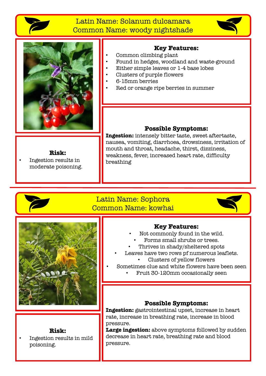

### Latin Name: Solanum dulcamara Common Name: woody nightshade





### **Key Features:**

- Common climbing plant
	- Found in hedges, woodland and waste-ground
- Either simple leaves or 1-4 base lobes
- Clusters of purple flowers
- 6-15mm berries
- Red or orange ripe berries in summer

#### **Risk:**

• Ingestion results in moderate poisoning.

### **Possible Symptoms:**

**Ingestion:** intensely bitter taste, sweet aftertaste, nausea, vomiting, diarrhoea, drowsiness, irritation of mouth and throat, headache, thirst, dizziness, weakness, fever, increased heart rate, difficulty breathing

### Latin Name: Sophora Common Name: kowhai





## **Risk:**

• Ingestion results in mild poisoning.

#### **Key Features:**

- Not commonly found in the wild.
- Forms small shrubs or trees.
- Thrives in shady/sheltered spots
- Leaves have two rows pf numerous leaflets.
	- Clusters of yellow flowers
- Sometimes clue and white flowers have been seen
	- Fruit 30-120mm occasionally seen

### **Possible Symptoms:**

**Ingestion:** gastrointestinal upset, increase in heart rate, increase in breathing rate, increase in blood pressure.

Large ingestion: above symptoms followed by sudden decrease in heart rate, breathing rate and blood pressure.